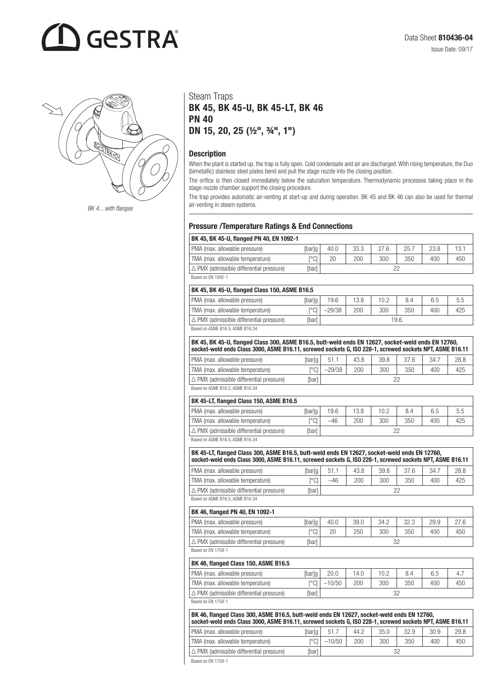# **GESTRA**



### Steam Traps BK 45, BK 45-U, BK 45-LT, BK 46 PN 40 DN 15, 20, 25 (½", ¾", 1")

### **Description**

When the plant is started up, the trap is fully open. Cold condensate and air are discharged. With rising temperature, the Duo (bimetallic) stainless steel plates bend and pull the stage nozzle into the closing position.

The orifice is then closed immediately below the saturation temperature. Thermodynamic processes taking place in the stage-nozzle chamber support the closing procedure.

The trap provides automatic air-venting at start-up and during operation. BK 45 and BK 46 can also be used for thermal BK 4... with flanges air-venting in steam systems.

### Pressure /Temperature Ratings & End Connections

| BK 45, BK 45-U, flanged PN 40, EN 1092-1   |               |      |      |      |      |      |      |
|--------------------------------------------|---------------|------|------|------|------|------|------|
| PMA (max. allowable pressure)              | [bar]g        | 40.0 | 33.3 | 27.6 | 25.7 | 23.8 | 13.1 |
| TMA (max. allowable temperature)           | r°C1          | 20   | 200  | 300  | 350  | 400  | 450  |
| l ∆ PMX (admissible differential pressure) | <b>T</b> barl |      |      |      |      |      |      |
| Based on FN 1092-1                         |               |      |      |      |      |      |      |

|  | MASEU UII EN TUYZ-T |  |
|--|---------------------|--|
|  |                     |  |

| BK 45, BK 45-U, flanged Class 150, ASME B16.5      |              |          |      |      |     |     |     |  |  |
|----------------------------------------------------|--------------|----------|------|------|-----|-----|-----|--|--|
| PMA (max. allowable pressure)                      | [bar]g       | 19.6     | 13.8 | 10.2 | 8.4 | 6.5 | 5.5 |  |  |
| TMA (max. allowable temperature)                   | r°C1         | $-29/38$ | 200  | 300  | 350 | 400 | 425 |  |  |
| $\triangle$ PMX (admissible differential pressure) | <b>Ibarl</b> | 19.6     |      |      |     |     |     |  |  |
| Based on ASME B16.5, ASME B16.34                   |              |          |      |      |     |     |     |  |  |

 $\vert$  BK 45, BK 45-U, flanged Class 300, ASME B16.5, butt-weld ends EN 12627, socket-weld ends EN 12760, socket-weld ends Class 3000, ASME B16.11, screwed sockets G, ISO 228-1, screwed sockets NPT, ASME B16.11 PMA (max. allowable pressure) [bar]g | 51.1 | 43.8 | 39.8 | 37.6 | 34.7 | 28.8 TMA (max. allowable temperature) [°C] –29/38 200 300 350 400 425  $\triangle$  PMX (admissible differential pressure) [bar]  $\Big|$  [bar] 22

Based on ASME B16.5, ASME B16.34

#### BK 45-LT, flanged Class 150, ASME B16.5

| <b>DR 40-LI, Hanged Glass 100, ASIME D10.0</b>     |              |       |      |      |     |     |     |
|----------------------------------------------------|--------------|-------|------|------|-----|-----|-----|
| PMA (max. allowable pressure)                      | [bar]g       | 19.6  | 13.8 | 10.2 | 8.4 | 6.5 | 5.5 |
| TMA (max. allowable temperature)                   | ro M         | $-46$ | 200  | 300  | 350 | 400 | 425 |
| $\triangle$ PMX (admissible differential pressure) | <b>Ibarl</b> |       |      |      |     |     |     |
| Rocad on ASME R16 5 ASME R16 34                    |              |       |      |      |     |     |     |

Based on ASME B16.5, ASME B16.34

| BK 45-LT, flanged Class 300, ASME B16.5, butt-weld ends EN 12627, socket-weld ends EN 12760,<br>socket-weld ends Class 3000, ASME B16.11, screwed sockets G, ISO 228-1, screwed sockets NPT, ASME B16.11 |        |       |      |      |      |      |      |  |  |  |
|----------------------------------------------------------------------------------------------------------------------------------------------------------------------------------------------------------|--------|-------|------|------|------|------|------|--|--|--|
| PMA (max. allowable pressure)                                                                                                                                                                            | lbarlo | 51.1  | 43.8 | 39.8 | 37.6 | 34.7 | 28.8 |  |  |  |
| TMA (max. allowable temperature)                                                                                                                                                                         | r°Cl   | $-46$ | 200  | 300  | 350  | 400  | 425  |  |  |  |
| $\Delta$ PMX (admissible differential pressure)                                                                                                                                                          | [bar]  |       |      |      |      |      |      |  |  |  |

Based on ASME B16.5, ASME B16.34

| BK 46, flanged PN 40, EN 1092-1                    |              |      |      |      |      |      |      |
|----------------------------------------------------|--------------|------|------|------|------|------|------|
| PMA (max. allowable pressure)                      | [bar]g       | 40.0 | 39.0 | 34.2 | 32.3 | 29.9 | 27.6 |
| TMA (max. allowable temperature)                   | r°C1         | 20   | 250  | 300  | 350  | 400  | 450  |
| $\triangle$ PMX (admissible differential pressure) | <b>Ibarl</b> | つつ   |      |      |      |      |      |
| Based on FN 1759-1                                 |              |      |      |      |      |      |      |

BK 46, flanged Class 150, ASME B16.5 PMA (max. allowable pressure) [bar]g | 20.0 | 14.0 | 10.2 | 8.4 | 6.5 | 4.7 TMA (max. allowable temperature) [°C] –10/50 200 300 350 400 450  $\Delta$  PMX (admissible differential pressure) [bar]  $\vert$  32

Based on EN 1759-1

| BK 46, flanged Class 300, ASME B16.5, butt-weld ends EN 12627, socket-weld ends EN 12760,<br>socket-weld ends Class 3000, ASME B16.11, screwed sockets G, ISO 228-1, screwed sockets NPT, ASME B16.11 |        |          |      |      |      |      |      |  |  |  |
|-------------------------------------------------------------------------------------------------------------------------------------------------------------------------------------------------------|--------|----------|------|------|------|------|------|--|--|--|
| PMA (max. allowable pressure)                                                                                                                                                                         | [bar]g | 51.7     | 44.2 | 35.0 | 32.9 | 30.9 | 29.8 |  |  |  |
| TMA (max. allowable temperature)                                                                                                                                                                      | r°C1   | $-10/50$ | 200  | 300  | 350  | 400  | 450  |  |  |  |
| $\Delta$ PMX (admissible differential pressure)                                                                                                                                                       | [bar]  |          |      |      |      |      |      |  |  |  |

Based on EN 1759-1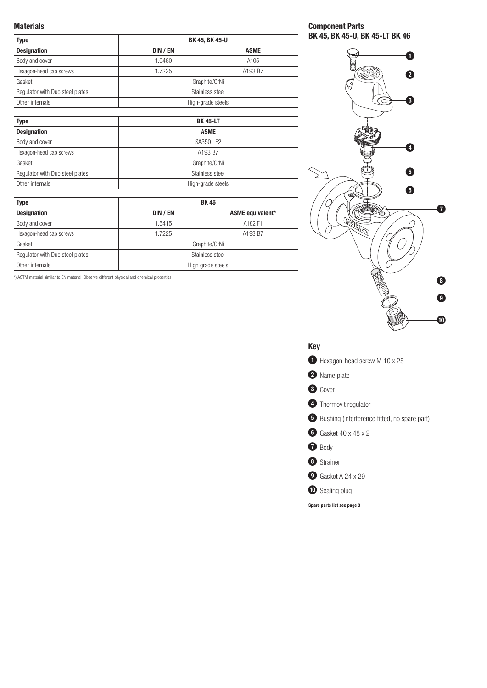### Materials

| <b>Type</b>                     | <b>BK 45, BK 45-U</b> |               |  |  |  |  |  |
|---------------------------------|-----------------------|---------------|--|--|--|--|--|
| <b>Designation</b>              | DIN / EN              | <b>ASME</b>   |  |  |  |  |  |
| Body and cover                  | 1.0460                | A105          |  |  |  |  |  |
| Hexagon-head cap screws         | 1.7225<br>A193 B7     |               |  |  |  |  |  |
| Gasket                          |                       | Graphite/CrNi |  |  |  |  |  |
| Regulator with Duo steel plates | Stainless steel       |               |  |  |  |  |  |
| Other internals                 | High-grade steels     |               |  |  |  |  |  |

| <b>Type</b>                     | <b>BK 45-LT</b>   |
|---------------------------------|-------------------|
| <b>Designation</b>              | <b>ASME</b>       |
| Body and cover                  | SA350 LF2         |
| Hexagon-head cap screws         | A193 B7           |
| Gasket                          | Graphite/CrNi     |
| Regulator with Duo steel plates | Stainless steel   |
| Other internals                 | High-grade steels |

| <b>Type</b>                     | <b>BK46</b>     |                   |  |  |  |  |  |  |
|---------------------------------|-----------------|-------------------|--|--|--|--|--|--|
| <b>Designation</b>              | DIN / EN        | ASME equivalent*  |  |  |  |  |  |  |
| Body and cover                  | 1.5415          | A182 F1           |  |  |  |  |  |  |
| Hexagon-head cap screws         | 1.7225          | A193 B7           |  |  |  |  |  |  |
| Gasket                          |                 | Graphite/CrNi     |  |  |  |  |  |  |
| Regulator with Duo steel plates | Stainless steel |                   |  |  |  |  |  |  |
| Other internals                 |                 | High grade steels |  |  |  |  |  |  |

\*) ASTM material similar to EN material. Observe different physical and chemical properties!

Component Parts BK 45, BK 45-U, BK 45-LT BK 46

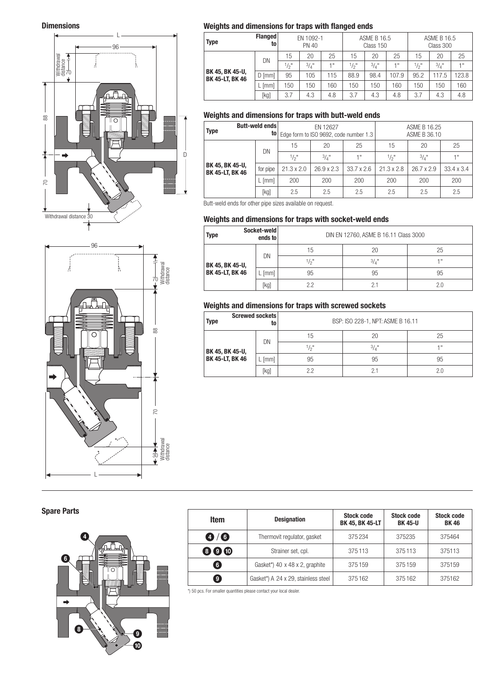

## BK 45, BK 45-U, BK 45-LT, BK 46  $\overline{D}$

### Dimensions Weights and dimensions for traps with flanged ends

| Type                                      | <b>Flanged</b><br>to | EN 1092-1<br>PN 40 |      |      | ASME B 16.5<br>Class 150 |      |       | <b>ASME B 16.5</b><br>Class 300 |       |                 |
|-------------------------------------------|----------------------|--------------------|------|------|--------------------------|------|-------|---------------------------------|-------|-----------------|
|                                           | DN                   | 15                 | 20   | 25   | 15                       | 20   | 25    | 15                              | 20    | 25              |
|                                           |                      | $\frac{1}{2}$ "    | 3/4" | 4 11 | $\frac{1}{2}$            | 3/4" | 4.0   | $\frac{1}{2}$ "                 | 3/4"  | 1 <sup>11</sup> |
| BK 45, BK 45-U,<br><b>BK 45-LT, BK 46</b> | $D$ [mm]             | 95                 | 105  | 115  | 88.9                     | 98.4 | 107.9 | 95.2                            | 117.5 | 123.8           |
|                                           | [mm]                 | 50                 | 150  | 160  | 150                      | 150  | 160   | 150                             | 150   | 160             |
|                                           | [kg]                 | 3.7                | 4.3  | 4.8  | 3.7                      | 4.3  | 4.8   | 3.7                             | 4.3   | 4.8             |

### Weights and dimensions for traps with butt-weld ends

| <b>Type</b>                               | Butt-weld ends |                   | EN 12627          | to   Edge form to ISO 9692, code number 1.3 | ASME B 16.25<br>ASME B 36.10 |                   |                   |  |
|-------------------------------------------|----------------|-------------------|-------------------|---------------------------------------------|------------------------------|-------------------|-------------------|--|
|                                           | DN             | 15                | 20                | 25                                          | 15                           | 20                | 25                |  |
|                                           |                | $1/2$ "           | $3/4$ "           | 411                                         | $1/2$ "                      | $3/4$ "           | 1"                |  |
| BK 45, BK 45-U,<br><b>BK 45-LT, BK 46</b> | for pipe       | $21.3 \times 2.0$ | $26.9 \times 2.3$ | $33.7 \times 2.6$                           | $21.3 \times 2.8$            | $26.7 \times 2.9$ | $33.4 \times 3.4$ |  |
|                                           | [mm]           | 200               | 200               | 200                                         | 200                          | 200               | 200               |  |
|                                           | [kg]           | 2.5               | 2.5               | 2.5                                         | 2.5                          | 2.5               | 2.5               |  |

Butt-weld ends for other pipe sizes available on request.

### Weights and dimensions for traps with socket-weld ends

| Socket-weld<br><b>Type</b><br>ends to |      | DIN EN 12760, ASME B 16.11 Class 3000 |                     |      |  |
|---------------------------------------|------|---------------------------------------|---------------------|------|--|
| BK 45, BK 45-U,<br>BK 45-LT, BK 46    | DN   | 15                                    | 20                  | 25   |  |
|                                       |      | 1/2"                                  | $3/4$ <sup>11</sup> | 4 !! |  |
|                                       | [mm] | 95                                    | 95                  | 95   |  |
|                                       | [kg] | クク                                    |                     | 2.0  |  |

### Weights and dimensions for traps with screwed sockets

| Screwed sockets<br><b>Type</b><br>to |      | BSP: ISO 228-1, NPT: ASME B 16.11 |                 |     |  |
|--------------------------------------|------|-----------------------------------|-----------------|-----|--|
| BK 45, BK 45-U,<br>BK 45-LT, BK 46   | DN   | 15                                | 20              | 25  |  |
|                                      |      | $\frac{1}{2}$ "                   | $\frac{3}{4}$ " | 4.8 |  |
|                                      | [mm] | 95                                | 95              | 95  |  |
|                                      | [kg] | 2.2                               |                 | 2.0 |  |

### Withdrawal<br>distance Withdrawal Å Å 70 88 70 88  $\overline{C}$ Withdrawal  $\frac{1}{30}$   $\frac{1}{30}$   $\frac{1}{30}$   $\frac{1}{30}$   $\frac{1}{30}$   $\frac{1}{30}$   $\frac{1}{30}$   $\frac{1}{30}$   $\frac{1}{30}$   $\frac{1}{30}$   $\frac{1}{30}$   $\frac{1}{30}$   $\frac{1}{30}$   $\frac{1}{30}$   $\frac{1}{30}$   $\frac{1}{30}$   $\frac{1}{30}$   $\frac{1}{30}$   $\frac{1}{30}$   $\frac{1}{30}$  L

96

### Spare Parts



| Item                        | <b>Designation</b>                  | <b>Stock code</b><br>BK 45, BK 45-LT | <b>Stock code</b><br><b>BK 45-U</b> | <b>Stock code</b><br><b>BK46</b> |
|-----------------------------|-------------------------------------|--------------------------------------|-------------------------------------|----------------------------------|
| $\mathbf{0}$ / $\mathbf{0}$ | Thermovit regulator, gasket         | 375234                               | 375235                              | 375464                           |
| 800                         | Strainer set, cpl.                  | 375113                               | 375113                              | 375113                           |
| 6                           | Gasket*) 40 x 48 x 2, graphite      | 375159                               | 375159                              | 375159                           |
| <b>g</b>                    | Gasket*) A 24 x 29, stainless steel | 375162                               | 375162                              | 375162                           |

\*) 50 pcs. For smaller quantities please contact your local dealer.